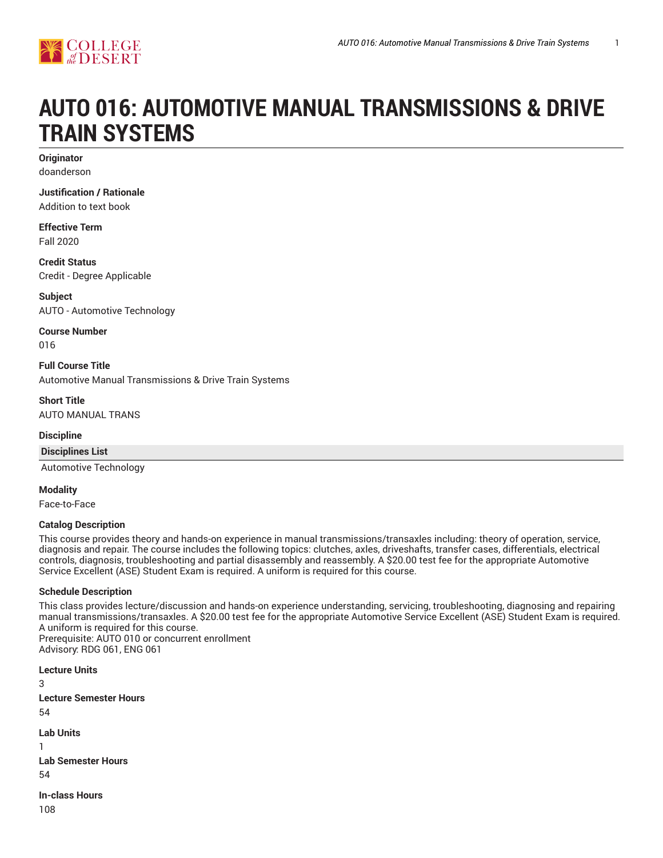

# **AUTO 016: AUTOMOTIVE MANUAL TRANSMISSIONS & DRIVE TRAIN SYSTEMS**

**Originator** doanderson

#### **Justification / Rationale**

Addition to text book

**Effective Term** Fall 2020

**Credit Status** Credit - Degree Applicable

**Subject** AUTO - Automotive Technology

**Course Number**

016

**Full Course Title** Automotive Manual Transmissions & Drive Train Systems

**Short Title** AUTO MANUAL TRANS

#### **Discipline**

**Disciplines List**

Automotive Technology

**Modality**

Face-to-Face

## **Catalog Description**

This course provides theory and hands-on experience in manual transmissions/transaxles including: theory of operation, service, diagnosis and repair. The course includes the following topics: clutches, axles, driveshafts, transfer cases, differentials, electrical controls, diagnosis, troubleshooting and partial disassembly and reassembly. A \$20.00 test fee for the appropriate Automotive Service Excellent (ASE) Student Exam is required. A uniform is required for this course.

#### **Schedule Description**

This class provides lecture/discussion and hands-on experience understanding, servicing, troubleshooting, diagnosing and repairing manual transmissions/transaxles. A \$20.00 test fee for the appropriate Automotive Service Excellent (ASE) Student Exam is required. A uniform is required for this course. Prerequisite: AUTO 010 or concurrent enrollment Advisory: RDG 061, ENG 061

**Lecture Units** 3 **Lecture Semester Hours** 54 **Lab Units** 1 **Lab Semester Hours** 54 **In-class Hours**

108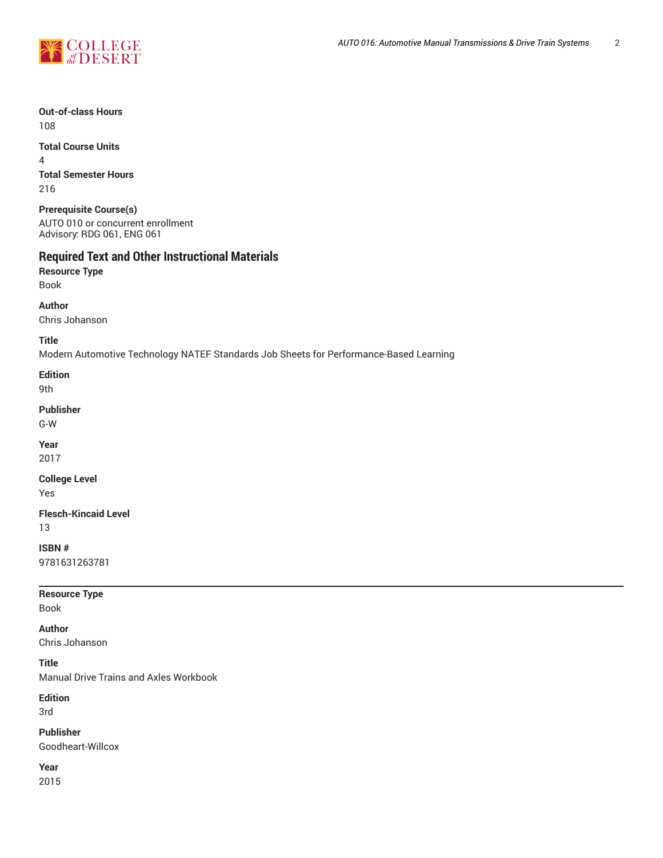

**Out-of-class Hours** 108

**Total Course Units** 4 **Total Semester Hours** 216

**Prerequisite Course(s)** AUTO 010 or concurrent enrollment Advisory: RDG 061, ENG 061

# **Required Text and Other Instructional Materials**

**Resource Type** Book

**Author**

Chris Johanson

**Title**

Modern Automotive Technology NATEF Standards Job Sheets for Performance-Based Learning

**Edition** 9th

**Publisher**

G-W

**Year**

2017

**College Level**

Yes

**Flesch-Kincaid Level** 13

**ISBN #**

9781631263781

**Resource Type**

Book

**Author**

Chris Johanson

**Title**

Manual Drive Trains and Axles Workbook

**Edition**

3rd

**Publisher** Goodheart-Willcox

**Year**

2015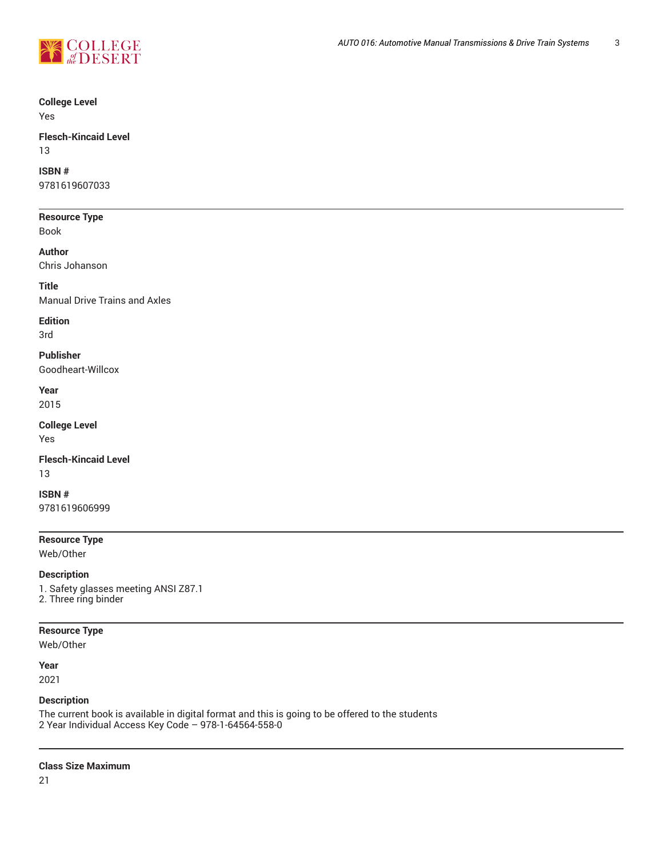

## **College Level**

Yes

#### **Flesch-Kincaid Level** 13

# **ISBN #**

9781619607033

## **Resource Type**

Book

**Author**

Chris Johanson

**Title**

Manual Drive Trains and Axles

## **Edition**

3rd

## **Publisher**

Goodheart-Willcox

**Year** 2015

#### **College Level**

Yes

## **Flesch-Kincaid Level** 13

**ISBN #** 9781619606999

## **Resource Type**

Web/Other

**Description** 1. Safety glasses meeting ANSI Z87.1 2. Three ring binder

## **Resource Type**

Web/Other

**Year** 2021

## **Description**

The current book is available in digital format and this is going to be offered to the students 2 Year Individual Access Key Code – 978-1-64564-558-0

## **Class Size Maximum**

21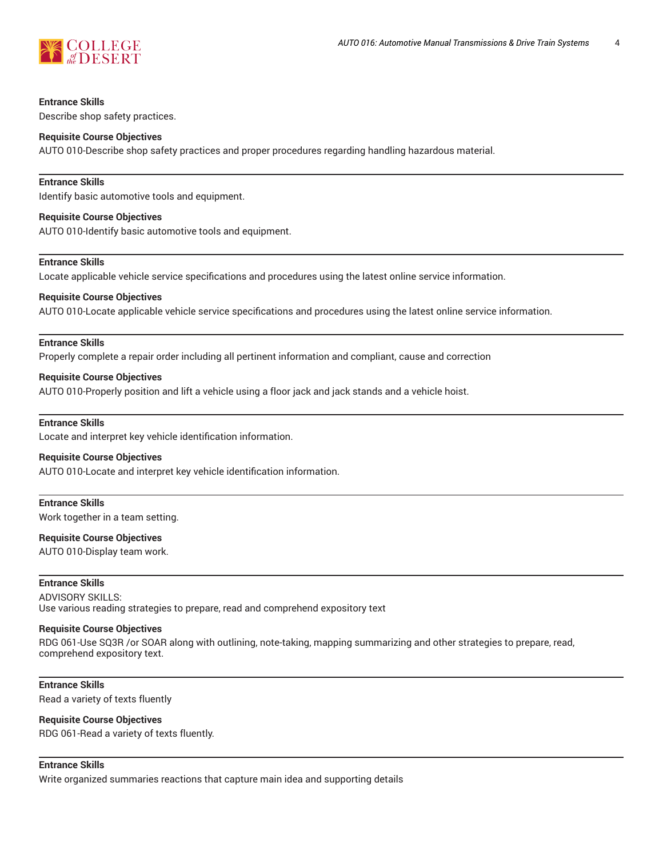

#### **Entrance Skills**

Describe shop safety practices.

#### **Requisite Course Objectives**

AUTO 010-Describe shop safety practices and proper procedures regarding handling hazardous material.

#### **Entrance Skills**

Identify basic automotive tools and equipment.

#### **Requisite Course Objectives**

AUTO 010-Identify basic automotive tools and equipment.

## **Entrance Skills**

Locate applicable vehicle service specifications and procedures using the latest online service information.

#### **Requisite Course Objectives**

AUTO 010-Locate applicable vehicle service specifications and procedures using the latest online service information.

#### **Entrance Skills**

Properly complete a repair order including all pertinent information and compliant, cause and correction

#### **Requisite Course Objectives**

AUTO 010-Properly position and lift a vehicle using a floor jack and jack stands and a vehicle hoist.

#### **Entrance Skills**

Locate and interpret key vehicle identification information.

#### **Requisite Course Objectives**

AUTO 010-Locate and interpret key vehicle identification information.

#### **Entrance Skills**

Work together in a team setting.

#### **Requisite Course Objectives**

AUTO 010-Display team work.

## **Entrance Skills**

ADVISORY SKILLS: Use various reading strategies to prepare, read and comprehend expository text

#### **Requisite Course Objectives**

RDG 061-Use SQ3R /or SOAR along with outlining, note-taking, mapping summarizing and other strategies to prepare, read, comprehend expository text.

### **Entrance Skills**

Read a variety of texts fluently

#### **Requisite Course Objectives**

RDG 061-Read a variety of texts fluently.

## **Entrance Skills**

Write organized summaries reactions that capture main idea and supporting details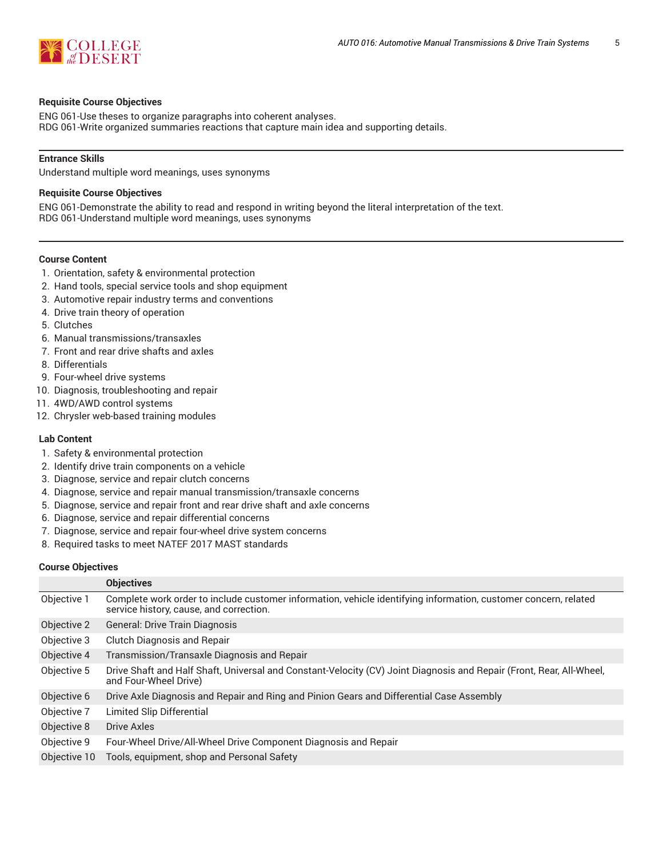

#### **Requisite Course Objectives**

ENG 061-Use theses to organize paragraphs into coherent analyses. RDG 061-Write organized summaries reactions that capture main idea and supporting details.

#### **Entrance Skills**

Understand multiple word meanings, uses synonyms

#### **Requisite Course Objectives**

ENG 061-Demonstrate the ability to read and respond in writing beyond the literal interpretation of the text. RDG 061-Understand multiple word meanings, uses synonyms

#### **Course Content**

- 1. Orientation, safety & environmental protection
- 2. Hand tools, special service tools and shop equipment
- 3. Automotive repair industry terms and conventions
- 4. Drive train theory of operation
- 5. Clutches
- 6. Manual transmissions/transaxles
- 7. Front and rear drive shafts and axles
- 8. Differentials
- 9. Four-wheel drive systems
- 10. Diagnosis, troubleshooting and repair
- 11. 4WD/AWD control systems
- 12. Chrysler web-based training modules

#### **Lab Content**

- 1. Safety & environmental protection
- 2. Identify drive train components on a vehicle
- 3. Diagnose, service and repair clutch concerns
- 4. Diagnose, service and repair manual transmission/transaxle concerns
- 5. Diagnose, service and repair front and rear drive shaft and axle concerns
- 6. Diagnose, service and repair differential concerns
- 7. Diagnose, service and repair four-wheel drive system concerns
- 8. Required tasks to meet NATEF 2017 MAST standards

#### **Course Objectives**

|              | <b>Objectives</b>                                                                                                                                          |
|--------------|------------------------------------------------------------------------------------------------------------------------------------------------------------|
| Objective 1  | Complete work order to include customer information, vehicle identifying information, customer concern, related<br>service history, cause, and correction. |
| Objective 2  | General: Drive Train Diagnosis                                                                                                                             |
| Objective 3  | <b>Clutch Diagnosis and Repair</b>                                                                                                                         |
| Objective 4  | Transmission/Transaxle Diagnosis and Repair                                                                                                                |
| Objective 5  | Drive Shaft and Half Shaft, Universal and Constant-Velocity (CV) Joint Diagnosis and Repair (Front, Rear, All-Wheel,<br>and Four-Wheel Drive)              |
| Objective 6  | Drive Axle Diagnosis and Repair and Ring and Pinion Gears and Differential Case Assembly                                                                   |
| Objective 7  | Limited Slip Differential                                                                                                                                  |
| Objective 8  | Drive Axles                                                                                                                                                |
| Objective 9  | Four-Wheel Drive/All-Wheel Drive Component Diagnosis and Repair                                                                                            |
| Objective 10 | Tools, equipment, shop and Personal Safety                                                                                                                 |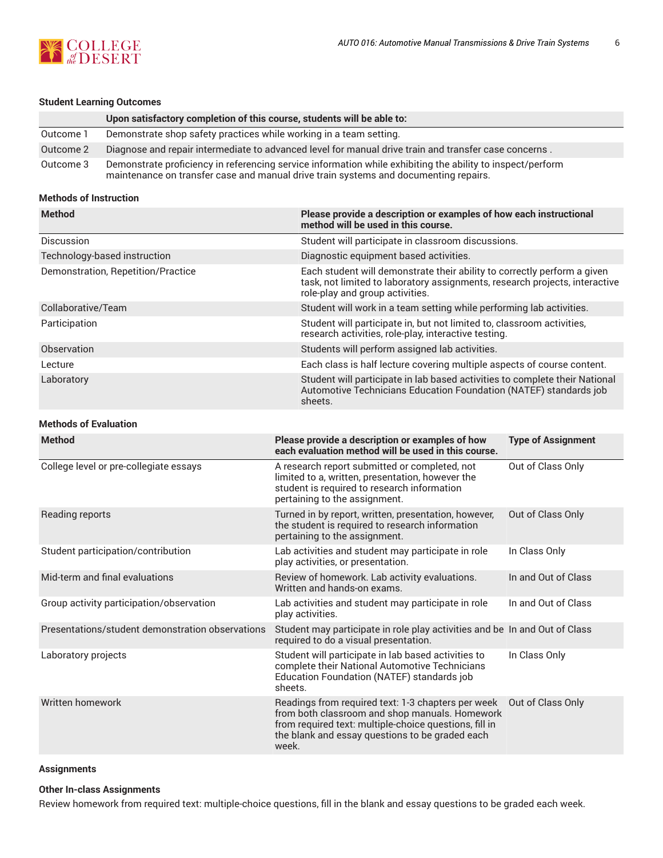

## **Student Learning Outcomes**

|           | Upon satisfactory completion of this course, students will be able to:                                                                                                                             |
|-----------|----------------------------------------------------------------------------------------------------------------------------------------------------------------------------------------------------|
| Outcome 1 | Demonstrate shop safety practices while working in a team setting.                                                                                                                                 |
| Outcome 2 | Diagnose and repair intermediate to advanced level for manual drive train and transfer case concerns.                                                                                              |
| Outcome 3 | Demonstrate proficiency in referencing service information while exhibiting the ability to inspect/perform<br>maintenance on transfer case and manual drive train systems and documenting repairs. |

#### **Methods of Instruction**

| <b>Method</b>                      | Please provide a description or examples of how each instructional<br>method will be used in this course.                                                                                  |
|------------------------------------|--------------------------------------------------------------------------------------------------------------------------------------------------------------------------------------------|
| Discussion                         | Student will participate in classroom discussions.                                                                                                                                         |
| Technology-based instruction       | Diagnostic equipment based activities.                                                                                                                                                     |
| Demonstration, Repetition/Practice | Each student will demonstrate their ability to correctly perform a given<br>task, not limited to laboratory assignments, research projects, interactive<br>role-play and group activities. |
| Collaborative/Team                 | Student will work in a team setting while performing lab activities.                                                                                                                       |
| Participation                      | Student will participate in, but not limited to, classroom activities,<br>research activities, role-play, interactive testing.                                                             |
| Observation                        | Students will perform assigned lab activities.                                                                                                                                             |
| Lecture                            | Each class is half lecture covering multiple aspects of course content.                                                                                                                    |
| Laboratory                         | Student will participate in lab based activities to complete their National<br>Automotive Technicians Education Foundation (NATEF) standards job<br>sheets.                                |

## **Methods of Evaluation**

| <b>Method</b>                                    | Please provide a description or examples of how<br>each evaluation method will be used in this course.                                                                                                                     | <b>Type of Assignment</b> |
|--------------------------------------------------|----------------------------------------------------------------------------------------------------------------------------------------------------------------------------------------------------------------------------|---------------------------|
| College level or pre-collegiate essays           | A research report submitted or completed, not<br>limited to a, written, presentation, however the<br>student is required to research information<br>pertaining to the assignment.                                          | Out of Class Only         |
| Reading reports                                  | Turned in by report, written, presentation, however,<br>the student is required to research information<br>pertaining to the assignment.                                                                                   | Out of Class Only         |
| Student participation/contribution               | Lab activities and student may participate in role<br>play activities, or presentation.                                                                                                                                    | In Class Only             |
| Mid-term and final evaluations                   | Review of homework. Lab activity evaluations.<br>Written and hands-on exams.                                                                                                                                               | In and Out of Class       |
| Group activity participation/observation         | Lab activities and student may participate in role<br>play activities.                                                                                                                                                     | In and Out of Class       |
| Presentations/student demonstration observations | Student may participate in role play activities and be In and Out of Class<br>required to do a visual presentation.                                                                                                        |                           |
| Laboratory projects                              | Student will participate in lab based activities to<br>complete their National Automotive Technicians<br>Education Foundation (NATEF) standards job<br>sheets.                                                             | In Class Only             |
| Written homework                                 | Readings from required text: 1-3 chapters per week<br>from both classroom and shop manuals. Homework<br>from required text: multiple-choice questions, fill in<br>the blank and essay questions to be graded each<br>week. | Out of Class Only         |

## **Assignments**

## **Other In-class Assignments**

Review homework from required text: multiple-choice questions, fill in the blank and essay questions to be graded each week.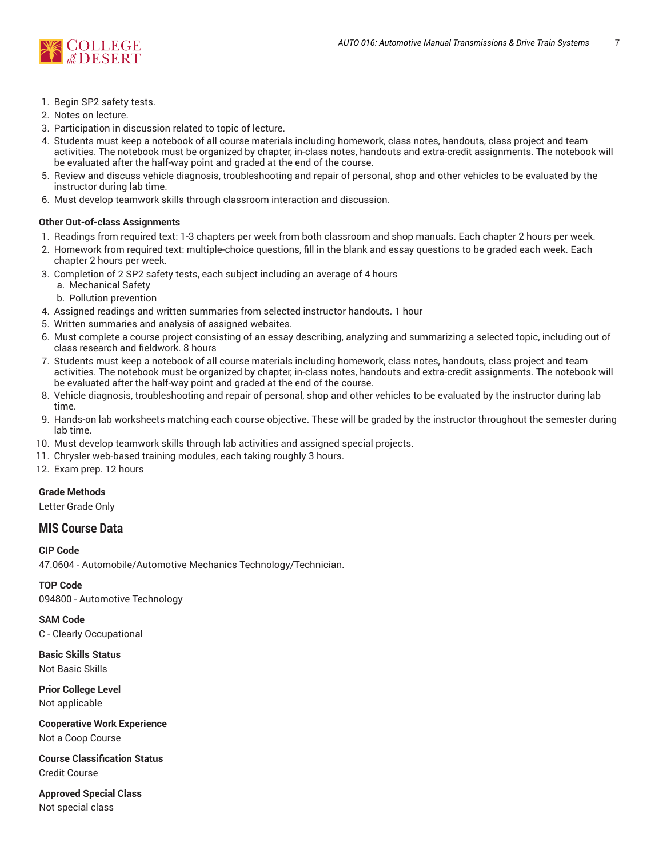

- 1. Begin SP2 safety tests.
- 2. Notes on lecture.
- 3. Participation in discussion related to topic of lecture.
- 4. Students must keep a notebook of all course materials including homework, class notes, handouts, class project and team activities. The notebook must be organized by chapter, in-class notes, handouts and extra-credit assignments. The notebook will be evaluated after the half-way point and graded at the end of the course.
- 5. Review and discuss vehicle diagnosis, troubleshooting and repair of personal, shop and other vehicles to be evaluated by the instructor during lab time.
- 6. Must develop teamwork skills through classroom interaction and discussion.

## **Other Out-of-class Assignments**

- 1. Readings from required text: 1-3 chapters per week from both classroom and shop manuals. Each chapter 2 hours per week.
- 2. Homework from required text: multiple-choice questions, fill in the blank and essay questions to be graded each week. Each chapter 2 hours per week.
- 3. Completion of 2 SP2 safety tests, each subject including an average of 4 hours
	- a. Mechanical Safety
	- b. Pollution prevention
- 4. Assigned readings and written summaries from selected instructor handouts. 1 hour
- 5. Written summaries and analysis of assigned websites.
- 6. Must complete a course project consisting of an essay describing, analyzing and summarizing a selected topic, including out of class research and fieldwork. 8 hours
- 7. Students must keep a notebook of all course materials including homework, class notes, handouts, class project and team activities. The notebook must be organized by chapter, in-class notes, handouts and extra-credit assignments. The notebook will be evaluated after the half-way point and graded at the end of the course.
- 8. Vehicle diagnosis, troubleshooting and repair of personal, shop and other vehicles to be evaluated by the instructor during lab time.
- 9. Hands-on lab worksheets matching each course objective. These will be graded by the instructor throughout the semester during lab time.
- 10. Must develop teamwork skills through lab activities and assigned special projects.
- 11. Chrysler web-based training modules, each taking roughly 3 hours.

12. Exam prep. 12 hours

## **Grade Methods**

Letter Grade Only

# **MIS Course Data**

**CIP Code** 47.0604 - Automobile/Automotive Mechanics Technology/Technician.

**TOP Code** 094800 - Automotive Technology

**SAM Code** C - Clearly Occupational

**Basic Skills Status** Not Basic Skills

**Prior College Level** Not applicable

**Cooperative Work Experience** Not a Coop Course

**Course Classification Status** Credit Course

**Approved Special Class** Not special class